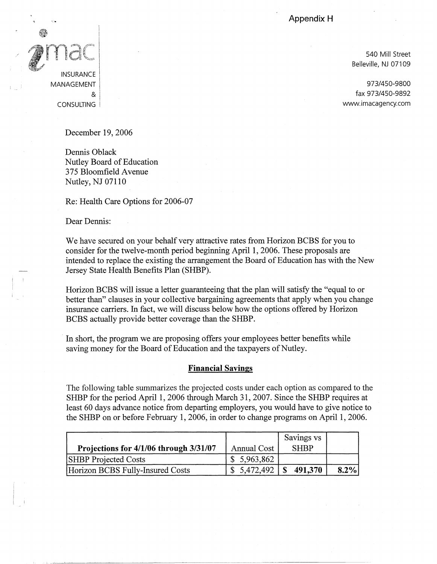**Appendix H** 



&

**CONSULTING** 

540 Mill Street Belleville, NJ 07109

973/450-9800 fax 973/450-9892 www.imacagency.com

December 19, 2006

Dennis Oblack Nutley Board of Education 375 Bloomfield Avenue Nutley, NJ 07110

Re: Health Care Options for 2006-07

Dear Dennis:

We have secured on your behalf very attractive rates from Horizon BCBS for you to consider for the twelve-month period beginning April **1,** 2006. These proposals are intended to replace the existing the arrangement the Board of Education has with the New Jersey State Health Benefits Plan (SHBP).

Horizon BCBS will issue a letter guaranteeing that the plan will satisfy the "equal to or better than" clauses in your collective bargaining agreements that apply when you change insurance carriers. In fact, we will discuss below how the options offered by Horizon BCBS actually provide better coverage than the SHBP.

In short, the program we are proposing offers your employees better benefits while saving money for the Board of Education and the taxpayers of Nutley.

## **Financial Savings**

The following table summarizes the projected costs under each option as compared to the SHBP for the period April 1, 2006 through March 31, 2007. Since the SHBP requires at least 60 days advance notice from departing employers, you would have to give notice to the SHBP on or before February 1, 2006, in order to change programs on April 1, 2006.

|                                        |             | Savings vs  |      |
|----------------------------------------|-------------|-------------|------|
| Projections for 4/1/06 through 3/31/07 | Annual Cost | <b>SHBP</b> |      |
| <b>SHBP</b> Projected Costs            | \$5,963,862 |             |      |
| Horizon BCBS Fully-Insured Costs       | \$5,472,492 | \$491,370   | 8.2% |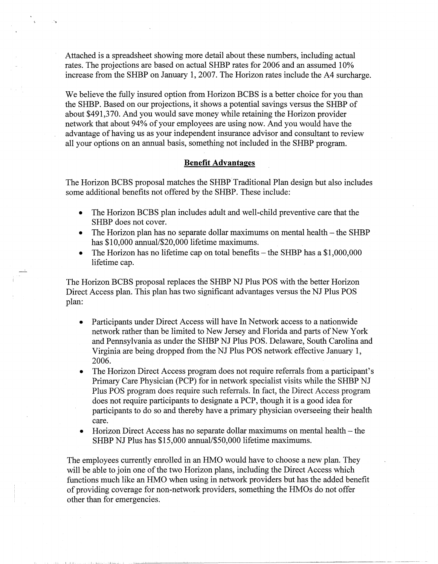Attached is a spreadsheet showing more detail about these numbers, including actual rates. The projections are based on actual SHBP rates for 2006 and an assumed 10% increase from the SHBP on January 1, 2007. The Horizon rates include the A4 surcharge.

We believe the fully insured option from Horizon BCBS is a better choice for you than the SHBP. Based on our projections, it shows a potential savings versus the SHBP of about \$491,370. And you would save money while retaining the Horizon provider network that about 94% of your employees are using now. And you would have the advantage of having us as your independent insurance advisor and consultant to review all your options on an annual basis, something not included in the SHBP program.

## **Benefit Advantages**

The Horizon BCBS proposal matches the SHBP Traditional Plan design but also includes some additional benefits not offered by the SHBP. These include:

- The Horizon BCBS plan includes adult and well-child preventive care that the SHBP does not cover.
- The Horizon plan has no separate dollar maximums on mental health  $-$  the SHBP has \$10,000 annual/\$20,000 lifetime maximums.
- The Horizon has no lifetime cap on total benefits the SHBP has a  $$1,000,000$ lifetime cap.

The Horizon BCBS proposal replaces the SHBP NJ Plus POS with the better Horizon Direct Access plan. This plan has two significant advantages versus the NJ Plus POS plan:

- Participants under Direct Access will have In Network access to a nationwide network rather than be limited to New Jersey and Florida and parts of New York and Pennsylvania as under the SHBP NJ Plus POS. Delaware, South Carolina and Virginia are being dropped from the NJ Plus POS network effective January 1, 2006.
- The Horizon Direct Access program does not require referrals from a participant's Primary Care Physician (PCP) for in network specialist visits while the SHBP NJ Plus POS program does require such referrals. In fact, the Direct Access program does not require participants to designate a PCP, though it is a good idea for participants to do so and thereby have a primary physician overseeing their health care.
- Horizon Direct Access has no separate dollar maximums on mental health the SHBP NJ Plus has \$15,000 annual/\$50,000 lifetime maximums.

The employees currently enrolled in an HMO would have to choose a new plan. They will be able to join one of the two Horizon plans, including the Direct Access which functions much like an HMO when using in network providers but has the added benefit of providing coverage for non-network providers, something the HMOs do not offer other than for emergencies.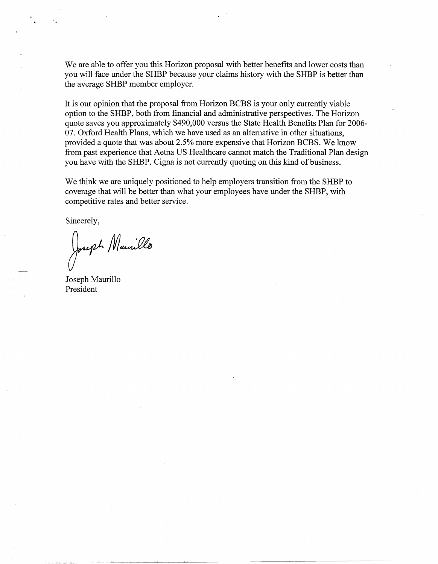We are able to offer you this Horizon proposal with better benefits and lower costs than you will face under the SHBP because your claims history with the SHBP is better than the average SHBP member employer.

It is our opinion that the proposal from Horizon BCBS is your only currently viable option to the SHBP, both from financial and administrative perspectives. The Horizon quote saves you approximately \$490,000 versus the State Health Benefits Plan for 2006- 07. Oxford Health Plans, which we have used as an alternative in other situations, provided a quote that was about 2.5% more expensive that Horizon BCBS. We know from past experience that Aetna US Healthcare cannot match the Traditional Plan design you have with the SHBP. Cigna is not currently quoting on this kind of business.

We think we are uniquely positioned to help employers transition from the SHBP to coverage that will be better than what your employees have under the SHBP, with competitive rates and better service.

Sincerely,

 $\mathcal{A}_\infty$ 

Joseph Maurillo

Joseph Maurillo President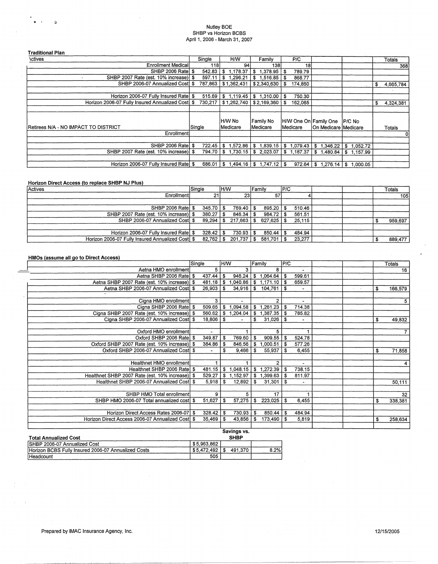#### Nutley BOE SHBP vs Horizon BCBS April 1, 2006 - March 31, 2007

| <b>Traditional Plan</b>                       |         |                       |                         |                                        |                                      |               |                 |     |
|-----------------------------------------------|---------|-----------------------|-------------------------|----------------------------------------|--------------------------------------|---------------|-----------------|-----|
| <b>\ctives</b>                                | Single  | H/W                   | Family                  | P/C                                    |                                      |               | Totals          |     |
| <b>Enrollment Medicall</b>                    | 118     | 94                    | 138l                    | 18                                     |                                      |               |                 | 368 |
| SHBP 2006 Ratel \$                            | 542.83  | 1,178.37<br>\$        | 1,378.95<br>£.          | 789.79<br>- \$                         |                                      |               |                 |     |
| SHBP 2007 Rate (est. 10% increase)  \$        | 597.11  | \$<br>1,296.21        | 1,516.85<br><b>S</b>    | 868.77<br>- \$                         |                                      |               |                 |     |
| SHBP 2006-07 Annualized Cost                  | 787,863 | \$1,362,431           | \$2,340,630             | 174,850<br>- 36                        |                                      |               | 4,665,784<br>\$ |     |
|                                               |         |                       |                         |                                        |                                      |               |                 |     |
| Horizon 2006-07 Fully Insured Rate \$         | 515.69  | \$1,119.45            | l Si<br>1,310.00        | 750.30<br>- \$                         |                                      |               |                 |     |
| Horizon 2006-07 Fully Insured Annualized Cost | 730,217 | \$1,262,740           | \$2,169,360             | 162,065<br>\$                          |                                      |               | 4,324,381<br>\$ |     |
|                                               |         |                       |                         |                                        |                                      |               |                 |     |
|                                               |         |                       |                         |                                        |                                      |               |                 |     |
|                                               |         | IH/W No               | Family No               | H/W One On Family One                  |                                      | IP/C No       |                 |     |
| Retirees N/A - NO IMPACT TO DISTRICT          | Single  | Medicare              | Medicare                | Medicare                               | On Medicare Medicare                 |               | Totals          |     |
| Enrollment                                    |         |                       |                         |                                        |                                      |               |                 |     |
|                                               |         |                       |                         |                                        |                                      |               |                 |     |
| SHBP 2006 Rate \$                             | 722.45  | \$<br>$1,572.86$ \ \$ |                         | $1,839.15$ \$ $1,079.43$ \$ $1,346.22$ |                                      | \$1,052.72    |                 |     |
| SHBP 2007 Rate (est. 10% increase) S          | 794.70  | \$<br>1.730.15        | \$2,023.07              | \$1,187.37                             | $\frac{1}{3}$ 1.480.84 \ \$ 1.157.99 |               |                 |     |
|                                               |         |                       |                         |                                        |                                      |               |                 |     |
| Horizon 2006-07 Fully Insured Rate            | 686.01  | \$<br>1.494.16        | $1.747.12$   \$<br>l Si | 972.64                                 | 1.276.14<br>- \$                     | 1.000.05<br>S |                 |     |

## **Horizon Direct Access (to replace SHBP NJ Plus)**

 $\epsilon$ 

 $\begin{array}{ccccccccc} \bullet & \star & & & \circ & \circ \end{array}$ 

| Actives                                       | Single | lh/W             | <b>Family</b>  | IP/C   | Totals  |
|-----------------------------------------------|--------|------------------|----------------|--------|---------|
| Enrollmentl                                   | 21     | 23               | 57             |        | 1051    |
|                                               |        |                  |                |        |         |
| SHBP 2006 Ratel \$                            | 345.70 | 769.40 I<br>- 96 | 895.20         | 510.46 |         |
| SHBP 2007 Rate (est. 10% increase)   \$       | 380.27 | 846.34           | 984.72         | 561.51 |         |
| SHBP 2006-07 Annualized Cost \$               | 89,294 | 217.663          | 627.625        | 25.115 | 959,697 |
|                                               |        |                  |                |        |         |
| Horizon 2006-07 Fully Insured Rate            | 328.42 | 730.93 l         | 850.44         | 484.94 |         |
| Horizon 2006-07 Fully Insured Annualized Cost | 82,762 | 201.737          | 581.701<br>-\$ | 23,277 | 889,477 |

#### **HMOs (assume all go to Direct Access)**

|                              |                                                   | Single |                          | H/W  |                |    | Family         | P/C  |                       |                                          | Totals        |
|------------------------------|---------------------------------------------------|--------|--------------------------|------|----------------|----|----------------|------|-----------------------|------------------------------------------|---------------|
|                              | Aetna HMO enrollment                              |        | 5                        |      | 3              |    | 8.             |      | ٠.                    |                                          | 16            |
|                              | Aetna SHBP 2006 Ratel \$                          |        | 437.44                   | -\$  | 946.24         | \$ | 1,064.64       | \$   | 599.61                |                                          |               |
|                              | Aetna SHBP 2007 Rate (est. 10% increase) \$       |        | 481.18                   | \$   | 1,040.86       | S. | 1,171.10       | - \$ | 659.57                |                                          |               |
|                              | Aetna SHBP 2006-07 Annualized Cost                |        | 26,903                   | S.   | 34,916         | \$ | 104,761        | \$   | $\blacksquare$        | $\alpha$ , $\beta$ , $\alpha$ , $\alpha$ | \$<br>166,579 |
|                              |                                                   |        |                          |      |                |    |                |      |                       |                                          |               |
|                              | Cigna HMO enrollment                              |        | 3                        |      | $\blacksquare$ |    | 2              |      | $\sim$                |                                          | 5             |
|                              | Cigna SHBP 2006 Rate \$                           |        | 509.65                   | -\$  | 1,094.58       | \$ | 1,261.23       | \$   | 714.38                |                                          |               |
|                              | Cigna SHBP 2007 Rate (est. 10% increase) \$       |        | 560.62                   | \$   | 1,204.04       | \$ | 1,387.35       | - \$ | 785.82                |                                          |               |
|                              | Cigna SHBP 2006-07 Annualized Cost                |        | 18,806                   | - \$ |                | \$ | 31,026         | -\$  | $\tilde{\phantom{a}}$ |                                          | \$<br>49,832  |
|                              |                                                   |        |                          |      |                |    |                |      |                       |                                          |               |
|                              | Oxford HMO enrollment                             |        | $\overline{\phantom{0}}$ |      |                |    | 5              |      |                       |                                          |               |
|                              | Oxford SHBP 2006 Rate \$                          |        | 349.87                   | - \$ | 769.60         | \$ | 909.55         | \$   | 524.78                |                                          |               |
|                              | Oxford SHBP 2007 Rate (est. 10% increase)   \$    |        | 384.86                   | - \$ | 846.56         | \$ | .000.51        | \$   | 577.26                |                                          |               |
|                              | Oxford SHBP 2006-07 Annualized Cost               |        |                          | - \$ | 9,466          | \$ | 55,937         | \$   | 6,455                 |                                          | \$<br>71,858  |
|                              |                                                   |        |                          |      |                |    |                |      |                       |                                          |               |
| $\sim$                       | Healthnet HMO enrollment                          |        |                          |      |                |    | $\overline{2}$ |      | $\sim$                |                                          | 4             |
|                              | Healthnet SHBP 2006 Ratel \$                      |        | 481.15                   | ∣\$. | 1,048.15       | \$ | ,272.39        | \$   | 738.15                |                                          |               |
|                              | Healthnet SHBP 2007 Rate (est. 10% increase)   \$ |        | 529.27                   | \$   | 1,152.97       | \$ | 1,399.63       | \$   | 811.97                |                                          |               |
|                              | Healthnet SHBP 2006-07 Annualized Cost \$         |        | 5,918                    | \$   | 12,892         | \$ | 31,301         | \$   | $\blacksquare$        |                                          | 50,111        |
|                              |                                                   |        |                          |      |                |    |                |      |                       |                                          |               |
|                              | SHBP HMO Total enrollment                         |        | 9                        |      | 5.             |    | 17             |      | 1                     |                                          | 32            |
|                              | SHBP HMO 2006-07 Total annualized cost \$         |        | 51,627                   | - \$ | 57,275         | \$ | 223,025        | \$.  | 6,455                 |                                          | \$<br>338,381 |
|                              |                                                   |        |                          |      |                |    |                |      |                       |                                          |               |
|                              | Horizon Direct Access Rates 2006-07 \$            |        | 328.42                   | \$   | $730.93$ \ \$  |    | 850.44         | £    | 484.94                |                                          |               |
|                              | Horizon Direct Access 2006-07 Annualized Cost \$  |        | 35,469                   | - \$ | 43,856         | \$ | 173,490        | \$   | 5,819                 |                                          | \$<br>258,634 |
|                              |                                                   |        |                          |      |                |    |                |      |                       |                                          |               |
|                              |                                                   |        |                          |      | Savings vs.    |    |                |      |                       |                                          |               |
| <b>Total Annualized Cost</b> |                                                   |        |                          |      | <b>SHBP</b>    |    |                |      |                       |                                          |               |

| Total Annualized Cost                               |                | эны     |      |
|-----------------------------------------------------|----------------|---------|------|
| ISHBP 2006-07 Annualized Cost                       | \$5,963,862    |         |      |
| Horizon BCBS Fully Insured 2006-07 Annualized Costs | $$5.472.492$ ! | 491.370 | 8.2% |
| l Headcount                                         | 505            |         |      |

 $\pm$  10  $\pm$ 

 $\hat{\mathcal{E}}$  $\epsilon$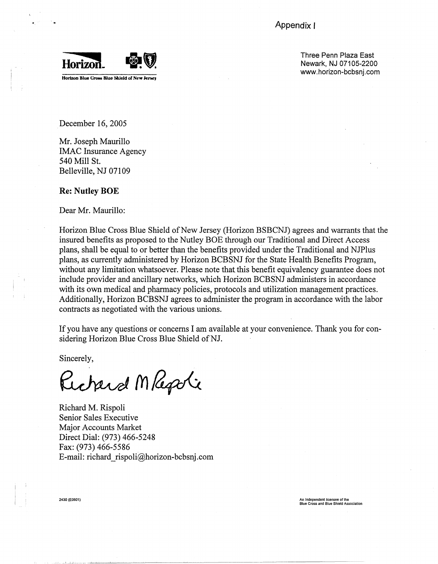Appendix I



Three Penn Plaza East Newark, NJ 07105-2200 www.horizon-bcbsnj.com

December 16, 2005

•. ..

Mr. Joseph Maurillo IMAC Insurance Agency 540 Mill St. Belleville, NJ 07109

## **Re: Nutley BOE**

Dear Mr. Maurillo:

Horizon Blue Cross Blue Shield of New Jersey (Horizon BSBCNJ) agrees and warrants that the insured benefits as proposed to the Nutley BOE through our Traditional and Direct Access plans, shall be equal to or better than the benefits provided under the Traditional and NJPlus plans, as currently administered by Horizon BCBSNJ for the State Health Benefits Program, without any limitation whatsoever. Please note that this benefit equivalency guarantee does not include provider and ancillary networks, which Horizon BCBSNJ administers in accordance with its own medical and pharmacy policies, protocols and utilization management practices. Additionally, Horizon BCBSNJ agrees to administer the program in accordance with the labor contracts as negotiated with the various unions.

If you have any questions or concerns I am available at your convenience. Thank you for considering Horizon Blue Cross Blue Shield of NJ.

Sincerely,

Richard Magoli

Richard M. Rispoli Senior Sales Executive Major Accounts Market Direct Dial: (973) 466-5248 Fax: (973) 466-5586 E-mail: richard\_rispoli@horizon-bcbsnj.com

2430 (E0601) An Independent licensee of the Blue Cross and Blue Shield Association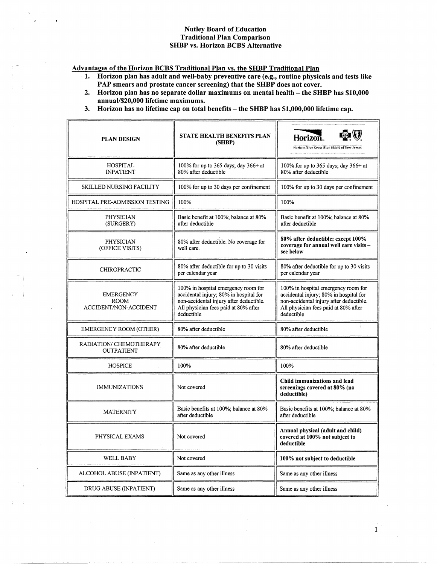## **Nutley Board of Education Traditional Plan Comparison SHBP vs. Horizon BCBS Alternative**

Advantages of the Horizon BCBS Traditional Plan vs. the SHBP Traditional Plan

 $\epsilon$ 

֒.

- Horizon plan has adult and well-baby preventive care (e.g., routine physicals and tests like  $1.$ PAP smears and prostate cancer screening) that the SHBP does not cover.
- 2. Horizon plan has no separate dollar maximums on mental health the SHBP has \$10,000 annual/\$20,000 lifetime maximums.
- 3. Horizon has no lifetime cap on total benefits the SHBP has \$1,000,000 lifetime cap.

| <b>PLAN DESIGN</b>                                       | <b>STATE HEALTH BENEFITS PLAN</b><br>(SHBP)                                                                                                                                    | Horizon.<br>Horizon Blue Cross Blue Shield of New Jersey<br><b>CALL ASSAULT</b> CONTRACTOR AT LCCC CONTRACTOR                                                                  |  |
|----------------------------------------------------------|--------------------------------------------------------------------------------------------------------------------------------------------------------------------------------|--------------------------------------------------------------------------------------------------------------------------------------------------------------------------------|--|
| HOSPITAL<br><b>INPATIENT</b>                             | 100% for up to 365 days; day 366+ at<br>80% after deductible                                                                                                                   | 100% for up to 365 days; day 366+ at<br>80% after deductible                                                                                                                   |  |
| <b>SKILLED NURSING FACILITY</b>                          | 100% for up to 30 days per confinement                                                                                                                                         | 100% for up to 30 days per confinement                                                                                                                                         |  |
| HOSPITAL PRE-ADMISSION TESTING                           | 100%                                                                                                                                                                           | 100%                                                                                                                                                                           |  |
| <b>PHYSICIAN</b><br>(SURGERY)                            | Basic benefit at 100%; balance at 80%<br>after deductible                                                                                                                      | Basic benefit at 100%; balance at 80%<br>after deductible                                                                                                                      |  |
| PHYSICIAN<br>(OFFICE VISITS)                             | 80% after deductible. No coverage for<br>well care.                                                                                                                            | 80% after deductible; except 100%<br>coverage for annual well care visits -<br>see below                                                                                       |  |
| <b>CHIROPRACTIC</b>                                      | 80% after deductible for up to 30 visits<br>per calendar year                                                                                                                  | 80% after deductible for up to 30 visits<br>per calendar year                                                                                                                  |  |
| <b>EMERGENCY</b><br><b>ROOM</b><br>ACCIDENT/NON-ACCIDENT | 100% in hospital emergency room for<br>accidental injury; 80% in hospital for<br>non-accidental injury after deductible.<br>All physician fees paid at 80% after<br>deductible | 100% in hospital emergency room for<br>accidental injury; 80% in hospital for<br>non-accidental injury after deductible.<br>All physician fees paid at 80% after<br>deductible |  |
| EMERGENCY ROOM (OTHER)                                   | 80% after deductible                                                                                                                                                           | 80% after deductible                                                                                                                                                           |  |
| RADIATION/ CHEMOTHERAPY<br><b>OUTPATIENT</b>             | 80% after deductible                                                                                                                                                           | 80% after deductible                                                                                                                                                           |  |
| <b>HOSPICE</b>                                           | 100%                                                                                                                                                                           | 100%                                                                                                                                                                           |  |
| <b>IMMUNIZATIONS</b>                                     | Not covered                                                                                                                                                                    | Child immunizations and lead<br>screenings covered at 80% (no<br>deductible)                                                                                                   |  |
| <b>MATERNITY</b>                                         | Basic benefits at 100%; balance at 80%<br>after deductible                                                                                                                     | Basic benefits at 100%; balance at 80%<br>after deductible                                                                                                                     |  |
| PHYSICAL EXAMS                                           | Not covered                                                                                                                                                                    | Annual physical (adult and child)<br>covered at 100% not subject to<br>deductible                                                                                              |  |
| WELL BABY                                                | Not covered                                                                                                                                                                    | 100% not subject to deductible                                                                                                                                                 |  |
| ALCOHOL ABUSE (INPATIENT)                                | Same as any other illness                                                                                                                                                      | Same as any other illness                                                                                                                                                      |  |
| DRUG ABUSE (INPATIENT)                                   | Same as any other illness                                                                                                                                                      | Same as any other illness                                                                                                                                                      |  |

 $\mathbf{1}$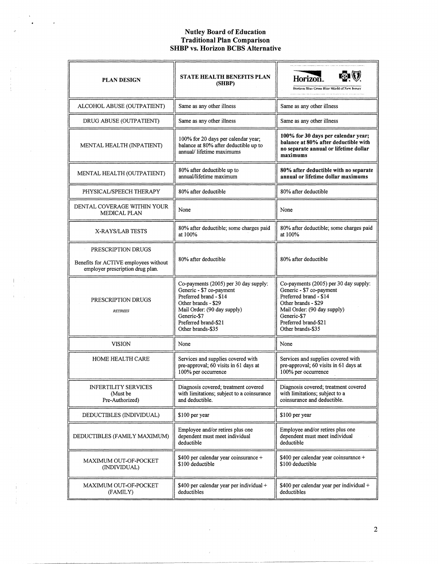## **Nutley Board of Education Traditional Plan Comparison SHBP vs. Horizon BCBS Alternative**

 $\sim$ 

 $\bar{\gamma}$ 

| <b>PLAN DESIGN</b>                                                                              | <b>STATE HEALTH BENEFITS PLAN</b><br>(SHBP)                                                                                                                                                                   | Horizon.<br>Horizon Blue Cross Blue Shield of New Jersey                                                                                                                                                      |  |  |
|-------------------------------------------------------------------------------------------------|---------------------------------------------------------------------------------------------------------------------------------------------------------------------------------------------------------------|---------------------------------------------------------------------------------------------------------------------------------------------------------------------------------------------------------------|--|--|
| ALCOHOL ABUSE (OUTPATIENT)                                                                      | Same as any other illness                                                                                                                                                                                     | Same as any other illness                                                                                                                                                                                     |  |  |
| DRUG ABUSE (OUTPATIENT)                                                                         | Same as any other illness                                                                                                                                                                                     | Same as any other illness                                                                                                                                                                                     |  |  |
| MENTAL HEALTH (INPATIENT)                                                                       | 100% for 20 days per calendar year;<br>balance at 80% after deductible up to<br>annual/lifetime maximums                                                                                                      | 100% for 30 days per calendar year;<br>balance at 80% after deductible with<br>no separate annual or lifetime dollar<br>maximums                                                                              |  |  |
| MENTAL HEALTH (OUTPATIENT)                                                                      | 80% after deductible up to<br>annual/lifetime maximum                                                                                                                                                         | 80% after deductible with no separate<br>annual or lifetime dollar maximums                                                                                                                                   |  |  |
| PHYSICAL/SPEECH THERAPY                                                                         | 80% after deductible                                                                                                                                                                                          | 80% after deductible                                                                                                                                                                                          |  |  |
| DENTAL COVERAGE WITHIN YOUR<br>MEDICAL PLAN                                                     | None                                                                                                                                                                                                          | None                                                                                                                                                                                                          |  |  |
| X-RAYS/LAB TESTS                                                                                | 80% after deductible; some charges paid<br>at 100%                                                                                                                                                            | 80% after deductible; some charges paid<br>at 100%                                                                                                                                                            |  |  |
| PRESCRIPTION DRUGS<br>Benefits for ACTIVE employees without<br>employer prescription drug plan. | 80% after deductible                                                                                                                                                                                          | 80% after deductible                                                                                                                                                                                          |  |  |
| PRESCRIPTION DRUGS<br><b>RETIREES</b>                                                           | Co-payments (2005) per 30 day supply:<br>Generic - \$7 co-payment<br>Preferred brand - \$14<br>Other brands - \$29<br>Mail Order: (90 day supply)<br>Generic-\$7<br>Preferred brand-\$21<br>Other brands-\$35 | Co-payments (2005) per 30 day supply:<br>Generic - \$7 co-payment<br>Preferred brand - \$14<br>Other brands - \$29<br>Mail Order: (90 day supply)<br>Generic-\$7<br>Preferred brand-\$21<br>Other brands-\$35 |  |  |
| <b>VISION</b>                                                                                   | None                                                                                                                                                                                                          | None                                                                                                                                                                                                          |  |  |
| HOME HEALTH CARE                                                                                | Services and supplies covered with<br>pre-approval; 60 visits in 61 days at<br>100% per occurrence                                                                                                            | Services and supplies covered with<br>pre-approval; 60 visits in 61 days at<br>100% per occurrence                                                                                                            |  |  |
| <b>INFERTILITY SERVICES</b><br>(Must be)<br>Pre-Authorized)                                     | Diagnosis covered; treatment covered<br>with limitations; subject to a coinsurance<br>and deductible.                                                                                                         | Diagnosis covered; treatment covered<br>with limitations; subject to a<br>coinsurance and deductible.                                                                                                         |  |  |
| DEDUCTIBLES (INDIVIDUAL)                                                                        | \$100 per year                                                                                                                                                                                                | \$100 per year                                                                                                                                                                                                |  |  |
| DEDUCTIBLES (FAMILY MAXIMUM)                                                                    | Employee and/or retires plus one<br>dependent must meet individual<br>deductible                                                                                                                              | Employee and/or retires plus one<br>dependent must meet individual<br>deductible                                                                                                                              |  |  |
| MAXIMUM OUT-OF-POCKET<br>(INDIVIDUAL)                                                           | \$400 per calendar year coinsurance +<br>\$100 deductible                                                                                                                                                     | \$400 per calendar year coinsurance +<br>\$100 deductible                                                                                                                                                     |  |  |
| MAXIMUM OUT-OF-POCKET<br>(FAMILY)                                                               | \$400 per calendar year per individual +<br>deductibles                                                                                                                                                       | \$400 per calendar year per individual +<br>deductibles                                                                                                                                                       |  |  |

 $\sim$ 

 $\epsilon$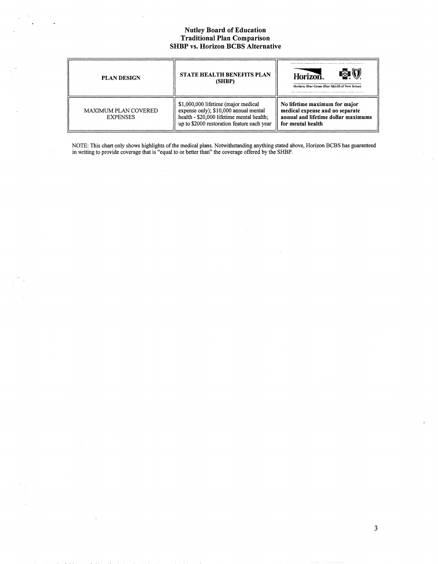# **Nutley Board of Education<br>Traditional Plan Comparison SHBP vs. Horizon BCBS Alternative**

| <b>PLAN DESIGN</b>                             | <b>STATE HEALTH BENEFITS PLAN</b><br>(SHBP)                                                                                                                             | Simple and content and define of excited as a mean fift concentrate pressure for any state and in the first Simple Simple and a state<br>Horizon.<br>Horizon blue Cross Blue Shield of New Jersey<br>of interment them that in market is the name has able to act it completed them as a heart of the test of the contact the model |
|------------------------------------------------|-------------------------------------------------------------------------------------------------------------------------------------------------------------------------|-------------------------------------------------------------------------------------------------------------------------------------------------------------------------------------------------------------------------------------------------------------------------------------------------------------------------------------|
| <b>MAXIMUM PLAN COVERED</b><br><b>EXPENSES</b> | \$1,000,000 lifetime (major medical<br>expense only); \$10,000 annual mental<br>health - \$20,000 lifetime mental health;<br>up to \$2000 restoration feature each year | No lifetime maximum for major<br>medical expense and no separate<br>annual and lifetime dollar maximums<br>for mental health                                                                                                                                                                                                        |

NOTE: This chart only shows highlights of the medical plans. Notwithstanding anything stated above, Horizon BCBS has guaranteed in writing to provide coverage that is "equal to or better than" the coverage offered by the S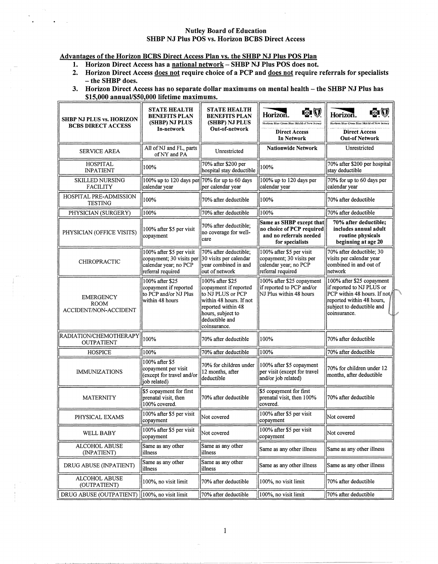## **Nutley Board of Education SHBP NJ Plus POS vs. Horizon BCBS Direct Access**

## Advantages of the Horizon BCBS Direct Access Plan vs. the SHBP NJ Plus POS Plan

- 1. Horizon Direct Access has a national network SHBP NJ Plus POS does not.
- 2. Horizon Direct Access does not require choice of a PCP and does not require referrals for specialists - the SHBP does.
- 3. Horizon Direct Access has no separate dollar maximums on mental health the SHBP NJ Plus has \$15,000 annual/\$50,000 lifetime maximums.

| <b>SHBP NJ PLUS vs. HORIZON</b><br><b>BCBS DIRECT ACCESS</b> | <b>STATE HEALTH</b><br><b>BENEFITS PLAN</b><br>(SHBP) NJ PLUS<br>In-network                        | <b>STATE HEALTH</b><br><b>BENEFITS PLAN</b><br>(SHBP) NJ PLUS<br>Out-of-network                                                                                       | ØØ<br>Horizon.<br>Horizon Blue Cross Blue Stield of New Jersey<br><b>Direct Access</b><br>In Network | Horizon.<br>Horizon Blue Cross Blue Shield of New Jersey<br><b>Direct Access</b><br><b>Out-of Network</b>                                                       |  |
|--------------------------------------------------------------|----------------------------------------------------------------------------------------------------|-----------------------------------------------------------------------------------------------------------------------------------------------------------------------|------------------------------------------------------------------------------------------------------|-----------------------------------------------------------------------------------------------------------------------------------------------------------------|--|
| <b>SERVICE AREA</b>                                          | All of NJ and FL, parts<br>of NY and PA                                                            | Unrestricted                                                                                                                                                          | <b>Nationwide Network</b>                                                                            | Unrestricted                                                                                                                                                    |  |
| <b>HOSPITAL</b><br><b>INPATIENT</b>                          | 100%                                                                                               | 70% after \$200 per<br>hospital stay deductible                                                                                                                       | 100%                                                                                                 | 70% after \$200 per hospital<br>stay deductible                                                                                                                 |  |
| <b>SKILLED NURSING</b><br><b>FACILITY</b>                    | 100% up to 120 days per $ 70\%$ for up to 60 days<br>calendar year                                 | per calendar year                                                                                                                                                     | 100% up to 120 days per<br>calendar year                                                             | 70% for up to 60 days per<br>calendar year                                                                                                                      |  |
| HOSPITAL PRE-ADMISSION<br><b>TESTING</b>                     | 100%                                                                                               | 70% after deductible                                                                                                                                                  | 100%                                                                                                 | 70% after deductible                                                                                                                                            |  |
| PHYSICIAN (SURGERY)                                          | 100%                                                                                               | 70% after deductible                                                                                                                                                  | 100%                                                                                                 | 70% after deductible                                                                                                                                            |  |
| PHYSICIAN (OFFICE VISITS)                                    | 100% after \$5 per visit<br>copayment                                                              | 70% after deductible;<br>no coverage for well-<br>care                                                                                                                | Same as SHBP except that<br>no choice of PCP required<br>and no referrals needed<br>for specialists  | 70% after deductible;<br>includes annual adult<br>routine physicals<br>beginning at age 20                                                                      |  |
| <b>CHIROPRACTIC</b>                                          | 100% after \$5 per visit<br>copayment; 30 visits per<br>calendar year; no PCP<br>referral required | 70% after deductible;<br>30 visits per calendar<br>vear combined in and<br>out of network                                                                             | 100% after \$5 per visit<br>copayment: 30 visits per<br>calendar year; no PCP<br>referral required   | 70% after deductible; 30<br>visits per calendar year<br>combined in and out of<br>network                                                                       |  |
| <b>EMERGENCY</b><br><b>ROOM</b><br>ACCIDENT/NON-ACCIDENT     | 100% after \$25<br>copayment if reported<br>to PCP and/or NJ Plus<br>within 48 hours               | 100% after \$25<br>copayment if reported<br>to NJ PLUS or PCP<br>within 48 hours. If not<br>reported within 48<br>hours, subject to<br>deductible and<br>coinsurance. | 100% after \$25 copayment<br>if reported to PCP and/or<br>NJ Plus within 48 hours                    | 100% after \$25 copayment<br>if reported to NJ PLUS or<br>PCP within 48 hours. If not<br>reported within 48 hours,<br>subject to deductible and<br>coinsurance. |  |
| RADIATION/CHEMOTHERAPY<br><b>OUTPATIENT</b>                  | 100%                                                                                               | 70% after deductible                                                                                                                                                  | 100%                                                                                                 | 70% after deductible                                                                                                                                            |  |
| <b>HOSPICE</b>                                               | 100%                                                                                               | 70% after deductible                                                                                                                                                  | 100%                                                                                                 | 70% after deductible                                                                                                                                            |  |
| <b>IMMUNIZATIONS</b>                                         | 100% after \$5<br>copayment per visit<br>(except for travel and/or<br>iob related)                 | 70% for children under<br>12 months, after<br>deductible                                                                                                              | 100% after \$5 copayment<br>per visit (except for travel<br>and/or job related)                      | 70% for children under 12<br>months, after deductible                                                                                                           |  |
| <b>MATERNITY</b>                                             | \$5 copayment for first<br>prenatal visit, then<br>100% covered.                                   | 70% after deductible                                                                                                                                                  | \$5 copayment for first<br>prenatal visit, then 100%<br>covered.                                     | 70% after deductible                                                                                                                                            |  |
| PHYSICAL EXAMS                                               | 100% after \$5 per visit<br>copayment                                                              | Not covered                                                                                                                                                           | 100% after \$5 per visit<br>copayment                                                                | Not covered                                                                                                                                                     |  |
| WELL BABY                                                    | 100% after \$5 per visit<br>copayment                                                              | Not covered                                                                                                                                                           | 100% after \$5 per visit<br>copayment                                                                | Not covered                                                                                                                                                     |  |
| ALCOHOL ABUSE<br>(INPATIENT)                                 | Same as any other<br>illness                                                                       | Same as any other<br>illness                                                                                                                                          | Same as any other illness                                                                            | Same as any other illness                                                                                                                                       |  |
| DRUG ABUSE (INPATIENT)                                       | Same as any other<br>illness                                                                       | Same as any other<br>illness                                                                                                                                          | Same as any other illness                                                                            | Same as any other illness                                                                                                                                       |  |
| ALCOHOL ABUSE<br>(OUTPATIENT)                                | 100%, no visit limit                                                                               | 70% after deductible                                                                                                                                                  | 100%, no visit limit                                                                                 | 70% after deductible                                                                                                                                            |  |
| DRUG ABUSE (OUTPATIENT)                                      | 100%, no visit limit                                                                               | 70% after deductible                                                                                                                                                  | 100%, no visit limit                                                                                 | 70% after deductible                                                                                                                                            |  |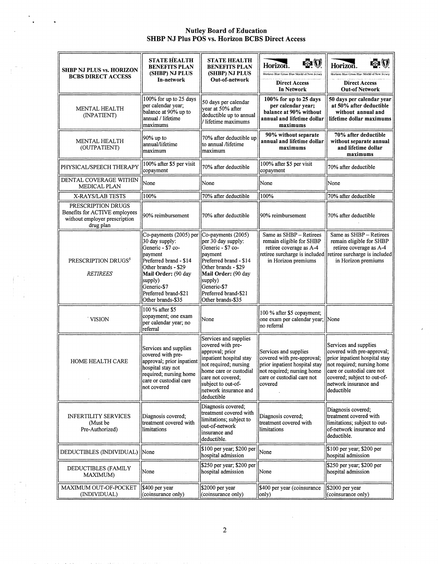#### Nutley Board of Education SHBP NJ Plus POS vs. Horizon BCBS Direct Access

 $\ddot{\phantom{0}}$ 

 $\bar{z}$ 

 $\frac{1}{4}$  ,  $\frac{1}{4}$ 

 $\begin{pmatrix} 1 & 1 \\ 1 & 1 \\ 1 & 1 \end{pmatrix}$ 

 $\beta = \frac{1}{4}$ 

 $\overline{a}$ 

 $\bar{\phantom{a}}$ 

| <b>SHBP NJ PLUS vs. HORIZON</b><br><b>BCBS DIRECT ACCESS</b>                                      | <b>STATE HEALTH</b><br><b>BENEFITS PLAN</b><br>(SHBP) NJ PLUS<br>In-network                                                                                                                                                                    | <b>STATE HEALTH</b><br><b>BENEFITS PLAN</b><br>(SHBP) NJ PLUS<br>Out-of-network                                                                                                                                               | øØ<br>Horizon.<br>Horizon Blue Gross Blue Shield of New Jersey<br><b>Direct Access</b><br>In Network                                                        | ÓО<br>Horizon.<br>Horizon Blue Cross Blue Shield of New Jersey<br><b>Direct Access</b><br><b>Out-of Network</b>                                                                                                        |
|---------------------------------------------------------------------------------------------------|------------------------------------------------------------------------------------------------------------------------------------------------------------------------------------------------------------------------------------------------|-------------------------------------------------------------------------------------------------------------------------------------------------------------------------------------------------------------------------------|-------------------------------------------------------------------------------------------------------------------------------------------------------------|------------------------------------------------------------------------------------------------------------------------------------------------------------------------------------------------------------------------|
| <b>MENTAL HEALTH</b><br>(INPATIENT)                                                               | 100% for up to 25 days<br>per calendar year;<br>balance at 90% up to<br>annual / lifetime<br>maximums                                                                                                                                          | 50 days per calendar<br>year at 50% after<br>deductible up to annual<br>/ lifetime maximums                                                                                                                                   | 100% for up to 25 days<br>per calendar year;<br>balance at 90% without<br>annual and lifetime dollar<br>maximums                                            | 50 days per calendar year<br>at 50% after deductible<br>without annual and<br>lifetime dollar maximums                                                                                                                 |
| <b>MENTAL HEALTH</b><br>(OUTPATIENT)                                                              | 90% up to<br>annual/lifetime<br> maximum                                                                                                                                                                                                       | 70% after deductible up<br>to annual /lifetime<br>maximum                                                                                                                                                                     | 90% without separate<br>annual and lifetime dollar<br>maximums                                                                                              | 70% after deductible<br>without separate annual<br>and lifetime dollar<br>maximums                                                                                                                                     |
| PHYSICAL/SPEECH THERAPY                                                                           | 100% after \$5 per visit<br>copayment                                                                                                                                                                                                          | 70% after deductible                                                                                                                                                                                                          | 100% after \$5 per visit<br>copayment                                                                                                                       | 70% after deductible                                                                                                                                                                                                   |
| DENTAL COVERAGE WITHIN<br>MEDICAL PLAN                                                            | None                                                                                                                                                                                                                                           | None                                                                                                                                                                                                                          | None                                                                                                                                                        | None                                                                                                                                                                                                                   |
| X-RAYS/LAB TESTS                                                                                  | 100%                                                                                                                                                                                                                                           | 70% after deductible                                                                                                                                                                                                          | 100%                                                                                                                                                        | 70% after deductible                                                                                                                                                                                                   |
| PRESCRIPTION DRUGS<br>Benefits for ACTIVE employees<br>without employer prescription<br>drug plan | 90% reimbursement                                                                                                                                                                                                                              | 70% after deductible                                                                                                                                                                                                          | 90% reimbursement                                                                                                                                           | 70% after deductible                                                                                                                                                                                                   |
| PRESCRIPTION DRUGS <sup>5</sup><br><b>RETIREES</b>                                                | Co-payments (2005) per $ $ Co-payments (2005)<br>30 day supply:<br>Generic - \$7 co-<br>payment<br>Preferred brand - \$14<br>Other brands - \$29<br>Mail Order: (90 day<br>supply)<br>Generic-\$7<br>Preferred brand-\$21<br>Other brands-\$35 | per 30 day supply:<br>Generic - \$7 co-<br>payment<br>Preferred brand - \$14<br>Other brands - \$29<br>Mail Order: (90 day<br>supply)<br>Generic-\$7<br>Preferred brand-\$21<br>Other brands-\$35                             | Same as SHBP - Retirees<br>remain eligible for SHBP<br>retiree coverage as A-4<br>in Horizon premiums                                                       | Same as SHBP - Retirees<br>remain eligible for SHBP<br>retiree coverage as A-4<br>retiree surcharge is included retiree surcharge is included<br>in Horizon premiums                                                   |
| <b>VISION</b>                                                                                     | 100 % after \$5<br>copayment; one exam<br>per calendar year; no<br>referral                                                                                                                                                                    | None                                                                                                                                                                                                                          | 100 % after \$5 copayment;<br>one exam per calendar year; None<br>no referral                                                                               |                                                                                                                                                                                                                        |
| <b>HOME HEALTH CARE</b>                                                                           | Services and supplies<br>covered with pre-<br>approval; prior inpatient<br>hospital stay not<br>required; nursing home<br>care or custodial care<br>not covered                                                                                | Services and supplies<br>covered with pre-<br>approval; prior<br>inpatient hospital stay<br>not required; nursing<br>home care or custodial<br>care not covered;<br>subject to out-of-<br>network insurance and<br>deductible | Services and supplies<br>covered with pre-approval;<br>prior inpatient hospital stay<br>not required; nursing home<br>care or custodial care not<br>covered | Services and supplies<br>covered with pre-approval;<br>prior inpatient hospital stay<br>not required; nursing home<br>care or custodial care not<br>covered; subject to out-of-<br>network insurance and<br>deductible |
| <b>INFERTILITY SERVICES</b><br>(Must be<br>Pre-Authorized)                                        | Diagnosis covered;<br>treatment covered with<br>limitations                                                                                                                                                                                    | Diagnosis covered;<br>treatment covered with<br>limitations; subject to<br>out-of-network<br>insurance and<br>deductible.                                                                                                     | Diagnosis covered;<br>treatment covered with<br>limitations                                                                                                 | Diagnosis covered;<br>treatment covered with<br>limitations; subject to out-<br>of-network insurance and<br>deductible.                                                                                                |
| DEDUCTIBLES (INDIVIDUAL) None                                                                     |                                                                                                                                                                                                                                                | \$100 per year; \$200 per<br>hospital admission                                                                                                                                                                               | None                                                                                                                                                        | \$100 per year; \$200 per<br>hospital admission                                                                                                                                                                        |
| DEDUCTIBLES (FAMILY<br>MAXIMUM)                                                                   | None                                                                                                                                                                                                                                           | \$250 per year; \$200 per<br>hospital admission                                                                                                                                                                               | None                                                                                                                                                        | \$250 per year; \$200 per<br>hospital admission                                                                                                                                                                        |
| MAXIMUM OUT-OF-POCKET<br>(INDIVIDUAL)                                                             | \$400 per year<br>(coinsurance only)                                                                                                                                                                                                           | \$2000 per year<br>(coinsurance only)                                                                                                                                                                                         | \$400 per year (coinsurance<br>only)                                                                                                                        | \$2000 per year<br>(coinsurance only)                                                                                                                                                                                  |

 $\epsilon$ 

 $\sim 10^6$